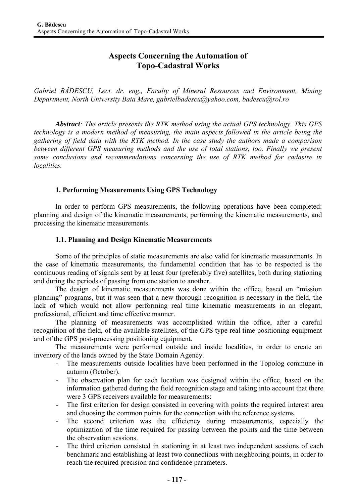# **Aspects Concerning the Automation of Topo-Cadastral Works**

*Gabriel BĂDESCU, Lect. dr. eng., Faculty of Mineral Resources and Environment, Mining Department, North University Baia Mare, gabrielbadescu@yahoo.com, badescu@rol.ro* 

*Abstract: The article presents the RTK method using the actual GPS technology. This GPS technology is a modern method of measuring, the main aspects followed in the article being the gathering of field data with the RTK method. In the case study the authors made a comparison between different GPS measuring methods and the use of total stations, too. Finally we present some conclusions and recommendations concerning the use of RTK method for cadastre in localities.* 

## **1. Performing Measurements Using GPS Technology**

In order to perform GPS measurements, the following operations have been completed: planning and design of the kinematic measurements, performing the kinematic measurements, and processing the kinematic measurements.

#### **1.1. Planning and Design Kinematic Measurements**

Some of the principles of static measurements are also valid for kinematic measurements. In the case of kinematic measurements, the fundamental condition that has to be respected is the continuous reading of signals sent by at least four (preferably five) satellites, both during stationing and during the periods of passing from one station to another.

The design of kinematic measurements was done within the office, based on "mission planning" programs, but it was seen that a new thorough recognition is necessary in the field, the lack of which would not allow performing real time kinematic measurements in an elegant, professional, efficient and time effective manner.

The planning of measurements was accomplished within the office, after a careful recognition of the field, of the available satellites, of the GPS type real time positioning equipment and of the GPS post-processing positioning equipment.

The measurements were performed outside and inside localities, in order to create an inventory of the lands owned by the State Domain Agency.

- The measurements outside localities have been performed in the Topolog commune in autumn (October).
- The observation plan for each location was designed within the office, based on the information gathered during the field recognition stage and taking into account that there were 3 GPS receivers available for measurements:
- The first criterion for design consisted in covering with points the required interest area and choosing the common points for the connection with the reference systems.
- The second criterion was the efficiency during measurements, especially the optimization of the time required for passing between the points and the time between the observation sessions.
- The third criterion consisted in stationing in at least two independent sessions of each benchmark and establishing at least two connections with neighboring points, in order to reach the required precision and confidence parameters.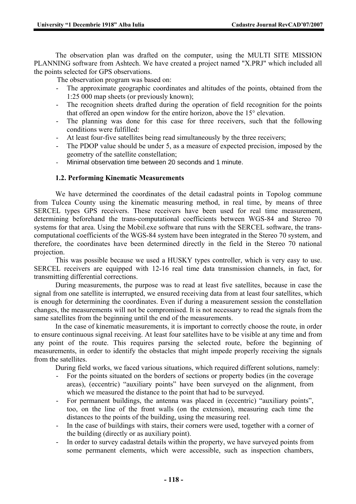The observation plan was drafted on the computer, using the MULTI SITE MISSION PLANNING software from Ashtech. We have created a project named "X.PRJ" which included all the points selected for GPS observations.

The observation program was based on:

- The approximate geographic coordinates and altitudes of the points, obtained from the 1:25 000 map sheets (or previously known);
- The recognition sheets drafted during the operation of field recognition for the points that offered an open window for the entire horizon, above the 15° elevation.
- The planning was done for this case for three receivers, such that the following conditions were fulfilled:
- At least four-five satellites being read simultaneously by the three receivers;
- The PDOP value should be under 5, as a measure of expected precision, imposed by the geometry of the satellite constellation;
- Minimal observation time between 20 seconds and 1 minute.

#### **1.2. Performing Kinematic Measurements**

We have determined the coordinates of the detail cadastral points in Topolog commune from Tulcea County using the kinematic measuring method, in real time, by means of three SERCEL types GPS receivers. These receivers have been used for real time measurement, determining beforehand the trans-computational coefficients between WGS-84 and Stereo 70 systems for that area. Using the Mobil.exe software that runs with the SERCEL software, the transcomputational coefficients of the WGS-84 system have been integrated in the Stereo 70 system, and therefore, the coordinates have been determined directly in the field in the Stereo 70 national projection.

This was possible because we used a HUSKY types controller, which is very easy to use. SERCEL receivers are equipped with 12-16 real time data transmission channels, in fact, for transmitting differential corrections.

During measurements, the purpose was to read at least five satellites, because in case the signal from one satellite is interrupted, we ensured receiving data from at least four satellites, which is enough for determining the coordinates. Even if during a measurement session the constellation changes, the measurements will not be compromised. It is not necessary to read the signals from the same satellites from the beginning until the end of the measurements.

In the case of kinematic measurements, it is important to correctly choose the route, in order to ensure continuous signal receiving. At least four satellites have to be visible at any time and from any point of the route. This requires parsing the selected route, before the beginning of measurements, in order to identify the obstacles that might impede properly receiving the signals from the satellites.

During field works, we faced various situations, which required different solutions, namely:

- For the points situated on the borders of sections or property bodies (in the coverage areas), (eccentric) "auxiliary points" have been surveyed on the alignment, from which we measured the distance to the point that had to be surveyed.
- For permanent buildings, the antenna was placed in (eccentric) "auxiliary points", too, on the line of the front walls (on the extension), measuring each time the distances to the points of the building, using the measuring reel.
- In the case of buildings with stairs, their corners were used, together with a corner of the building (directly or as auxiliary point).
- In order to survey cadastral details within the property, we have surveyed points from some permanent elements, which were accessible, such as inspection chambers,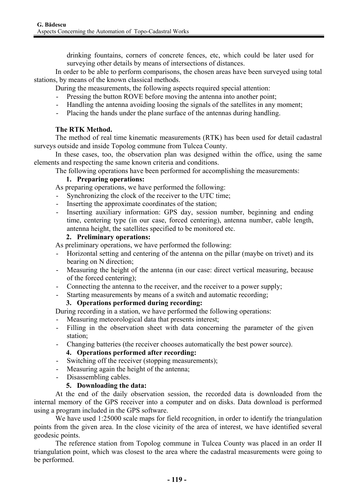drinking fountains, corners of concrete fences, etc, which could be later used for surveying other details by means of intersections of distances.

In order to be able to perform comparisons, the chosen areas have been surveyed using total stations, by means of the known classical methods.

During the measurements, the following aspects required special attention:

- Pressing the button ROVE before moving the antenna into another point;
- Handling the antenna avoiding loosing the signals of the satellites in any moment;
- Placing the hands under the plane surface of the antennas during handling.

## **The RTK Method.**

The method of real time kinematic measurements (RTK) has been used for detail cadastral surveys outside and inside Topolog commune from Tulcea County.

In these cases, too, the observation plan was designed within the office, using the same elements and respecting the same known criteria and conditions.

The following operations have been performed for accomplishing the measurements:

## **1. Preparing operations:**

As preparing operations, we have performed the following:

- Synchronizing the clock of the receiver to the UTC time;
- Inserting the approximate coordinates of the station;
- Inserting auxiliary information: GPS day, session number, beginning and ending time, centering type (in our case, forced centering), antenna number, cable length, antenna height, the satellites specified to be monitored etc.

## **2. Preliminary operations:**

As preliminary operations, we have performed the following:

- Horizontal setting and centering of the antenna on the pillar (maybe on trivet) and its bearing on N direction;
- Measuring the height of the antenna (in our case: direct vertical measuring, because of the forced centering);
- Connecting the antenna to the receiver, and the receiver to a power supply;
- Starting measurements by means of a switch and automatic recording;

## **3. Operations performed during recording:**

During recording in a station, we have performed the following operations:

- Measuring meteorological data that presents interest;
- Filling in the observation sheet with data concerning the parameter of the given station;
- Changing batteries (the receiver chooses automatically the best power source).

## **4. Operations performed after recording:**

- Switching off the receiver (stopping measurements);
- Measuring again the height of the antenna;
- Disassembling cables.

## **5. Downloading the data:**

At the end of the daily observation session, the recorded data is downloaded from the internal memory of the GPS receiver into a computer and on disks. Data download is performed using a program included in the GPS software.

We have used 1:25000 scale maps for field recognition, in order to identify the triangulation points from the given area. In the close vicinity of the area of interest, we have identified several geodesic points.

The reference station from Topolog commune in Tulcea County was placed in an order II triangulation point, which was closest to the area where the cadastral measurements were going to be performed.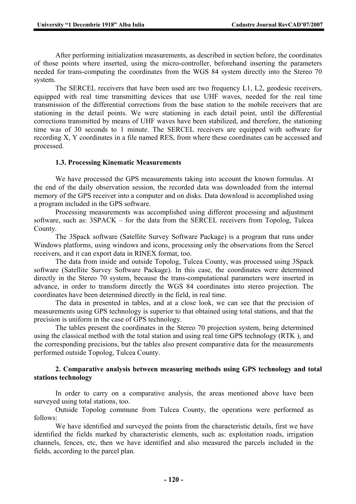After performing initialization measurements, as described in section before, the coordinates of those points where inserted, using the micro-controller, beforehand inserting the parameters needed for trans-computing the coordinates from the WGS 84 system directly into the Stereo 70 system.

The SERCEL receivers that have been used are two frequency L1, L2, geodesic receivers, equipped with real time transmitting devices that use UHF waves, needed for the real time transmission of the differential corrections from the base station to the mobile receivers that are stationing in the detail points. We were stationing in each detail point, until the differential corrections transmitted by means of UHF waves have been stabilized, and therefore, the stationing time was of 30 seconds to 1 minute. The SERCEL receivers are equipped with software for recording X, Y coordinates in a file named RES, from where these coordinates can be accessed and processed.

#### **1.3. Processing Kinematic Measurements**

We have processed the GPS measurements taking into account the known formulas. At the end of the daily observation session, the recorded data was downloaded from the internal memory of the GPS receiver into a computer and on disks. Data download is accomplished using a program included in the GPS software.

Processing measurements was accomplished using different processing and adjustment software, such as: 3SPACK – for the data from the SERCEL receivers from Topolog, Tulcea County.

The 3Spack software (Satellite Survey Software Package) is a program that runs under Windows platforms, using windows and icons, processing only the observations from the Sercel receivers, and it can export data in RINEX format, too.

The data from inside and outside Topolog, Tulcea County, was processed using 3Spack software (Satellite Survey Software Package). In this case, the coordinates were determined directly in the Stereo 70 system, because the trans-computational parameters were inserted in advance, in order to transform directly the WGS 84 coordinates into stereo projection. The coordinates have been determined directly in the field, in real time.

The data in presented in tables, and at a close look, we can see that the precision of measurements using GPS technology is superior to that obtained using total stations, and that the precision is uniform in the case of GPS technology.

The tables present the coordinates in the Stereo 70 projection system, being determined using the classical method with the total station and using real time GPS technology (RTK ), and the corresponding precisions, but the tables also present comparative data for the measurements performed outside Topolog, Tulcea County.

#### **2. Comparative analysis between measuring methods using GPS technology and total stations technology**

In order to carry on a comparative analysis, the areas mentioned above have been surveyed using total stations, too.

Outside Topolog commune from Tulcea County, the operations were performed as follows:

We have identified and surveyed the points from the characteristic details, first we have identified the fields marked by characteristic elements, such as: exploitation roads, irrigation channels, fences, etc, then we have identified and also measured the parcels included in the fields, according to the parcel plan.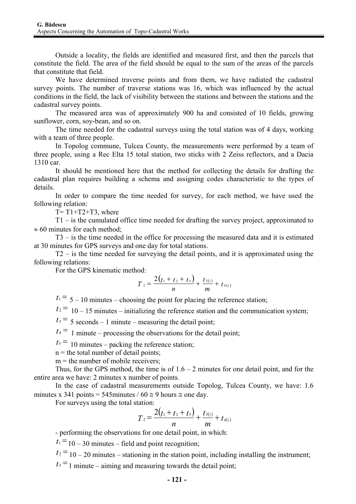Outside a locality, the fields are identified and measured first, and then the parcels that constitute the field. The area of the field should be equal to the sum of the areas of the parcels that constitute that field.

We have determined traverse points and from them, we have radiated the cadastral survey points. The number of traverse stations was 16, which was influenced by the actual conditions in the field, the lack of visibility between the stations and between the stations and the cadastral survey points.

The measured area was of approximately 900 ha and consisted of 10 fields, growing sunflower, corn, soy-bean, and so on.

The time needed for the cadastral surveys using the total station was of 4 days, working with a team of three people.

In Topolog commune, Tulcea County, the measurements were performed by a team of three people, using a Rec Elta 15 total station, two sticks with 2 Zeiss reflectors, and a Dacia 1310 car.

It should be mentioned here that the method for collecting the details for drafting the cadastral plan requires building a schema and assigning codes characteristic to the types of details.

In order to compare the time needed for survey, for each method, we have used the following relation:

 $T=T1+T2+T3$ , where

T1 – is the cumulated office time needed for drafting the survey project, approximated to  $\approx 60$  minutes for each method;

T3 – is the time needed in the office for processing the measured data and it is estimated at 30 minutes for GPS surveys and one day for total stations.

T2 – is the time needed for surveying the detail points, and it is approximated using the following relations:

For the GPS kinematic method:

$$
T_2 = \frac{2(t_1+t_2+t_5)}{n} + \frac{t_{3(i)}}{m} + t_{4(i)}
$$

 $t_1 = 5 - 10$  minutes – choosing the point for placing the reference station;

 $t_2$ <sup>=</sup> 10 – 15 minutes – initializing the reference station and the communication system;

 $t_3$ <sup>=</sup> 5 seconds – 1 minute – measuring the detail point;

 $t_4$ <sup>=</sup> 1 minute – processing the observations for the detail point;

 $t_5$  = 10 minutes – packing the reference station;

 $n =$  the total number of detail points:

 $m =$  the number of mobile receivers;

Thus, for the GPS method, the time is of  $1.6 - 2$  minutes for one detail point, and for the entire area we have: 2 minutes x number of points.

In the case of cadastral measurements outside Topolog, Tulcea County, we have: 1.6 minutes x 341 points = 545minutes /  $60 \approx 9$  hours  $\approx$  one day.

For surveys using the total station:

$$
T_2 = \frac{2(t_1+t_2+t_5)}{n} + \frac{t_{3(i)}}{m} + t_{4(i)}
$$

- performing the observations for one detail point, in which:

 $t_1 = 10 - 30$  minutes – field and point recognition;

 $t_2 = 10 - 20$  minutes – stationing in the station point, including installing the instrument;

 $t_3 = 1$  minute – aiming and measuring towards the detail point;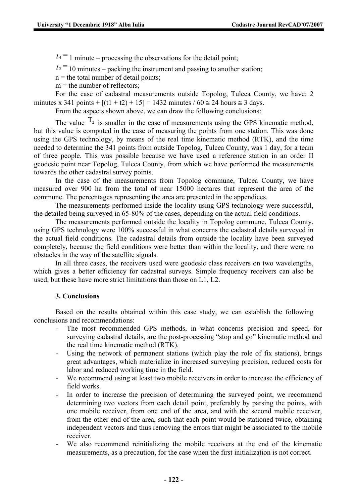$t_4$ <sup>=</sup> 1 minute – processing the observations for the detail point;

 $t_5$ <sup>=</sup>10 minutes – packing the instrument and passing to another station;

 $n =$  the total number of detail points;

 $m =$  the number of reflectors;

For the case of cadastral measurements outside Topolog, Tulcea County, we have: 2 minutes x 341 points +  $[(t1 + t2) + 15] = 1432$  minutes / 60  $\approx$  24 hours  $\approx$  3 days.

From the aspects shown above, we can draw the following conclusions:

The value  $T_2$  is smaller in the case of measurements using the GPS kinematic method, but this value is computed in the case of measuring the points from one station. This was done using the GPS technology, by means of the real time kinematic method (RTK), and the time needed to determine the 341 points from outside Topolog, Tulcea County, was 1 day, for a team of three people. This was possible because we have used a reference station in an order II geodesic point near Topolog, Tulcea County, from which we have performed the measurements towards the other cadastral survey points.

In the case of the measurements from Topolog commune, Tulcea County, we have measured over 900 ha from the total of near 15000 hectares that represent the area of the commune. The percentages representing the area are presented in the appendices.

The measurements performed inside the locality using GPS technology were successful, the detailed being surveyed in 65-80% of the cases, depending on the actual field conditions.

The measurements performed outside the locality in Topolog commune, Tulcea County, using GPS technology were 100% successful in what concerns the cadastral details surveyed in the actual field conditions. The cadastral details from outside the locality have been surveyed completely, because the field conditions were better than within the locality, and there were no obstacles in the way of the satellite signals.

In all three cases, the receivers used were geodesic class receivers on two wavelengths, which gives a better efficiency for cadastral surveys. Simple frequency receivers can also be used, but these have more strict limitations than those on L1, L2.

#### **3. Conclusions**

Based on the results obtained within this case study, we can establish the following conclusions and recommendations:

- The most recommended GPS methods, in what concerns precision and speed, for surveying cadastral details, are the post-processing "stop and go" kinematic method and the real time kinematic method (RTK).
- Using the network of permanent stations (which play the role of fix stations), brings great advantages, which materialize in increased surveying precision, reduced costs for labor and reduced working time in the field.
- We recommend using at least two mobile receivers in order to increase the efficiency of field works.
- In order to increase the precision of determining the surveyed point, we recommend determining two vectors from each detail point, preferably by parsing the points, with one mobile receiver, from one end of the area, and with the second mobile receiver, from the other end of the area, such that each point would be stationed twice, obtaining independent vectors and thus removing the errors that might be associated to the mobile receiver.
- We also recommend reinitializing the mobile receivers at the end of the kinematic measurements, as a precaution, for the case when the first initialization is not correct.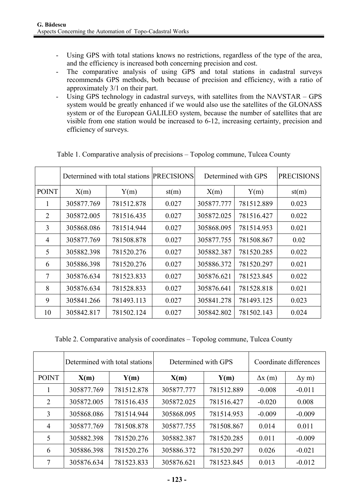- Using GPS with total stations knows no restrictions, regardless of the type of the area, and the efficiency is increased both concerning precision and cost.
- The comparative analysis of using GPS and total stations in cadastral surveys recommends GPS methods, both because of precision and efficiency, with a ratio of approximately 3/1 on their part.
- Using GPS technology in cadastral surveys, with satellites from the NAVSTAR GPS system would be greatly enhanced if we would also use the satellites of the GLONASS system or of the European GALILEO system, because the number of satellites that are visible from one station would be increased to 6-12, increasing certainty, precision and efficiency of surveys.

|                | Determined with total stations PRECISIONS |            |       | Determined with GPS |            | <b>PRECISIONS</b> |
|----------------|-------------------------------------------|------------|-------|---------------------|------------|-------------------|
| <b>POINT</b>   | X(m)                                      | Y(m)       | st(m) | X(m)                | Y(m)       | st(m)             |
| 1              | 305877.769                                | 781512.878 | 0.027 | 305877.777          | 781512.889 | 0.023             |
| $\overline{2}$ | 305872.005                                | 781516.435 | 0.027 | 305872.025          | 781516.427 | 0.022             |
| 3              | 305868.086                                | 781514.944 | 0.027 | 305868.095          | 781514.953 | 0.021             |
| $\overline{4}$ | 305877.769                                | 781508.878 | 0.027 | 305877.755          | 781508.867 | 0.02              |
| 5              | 305882.398                                | 781520.276 | 0.027 | 305882.387          | 781520.285 | 0.022             |
| 6              | 305886.398                                | 781520.276 | 0.027 | 305886.372          | 781520.297 | 0.021             |
| $\tau$         | 305876.634                                | 781523.833 | 0.027 | 305876.621          | 781523.845 | 0.022             |
| 8              | 305876.634                                | 781528.833 | 0.027 | 305876.641          | 781528.818 | 0.021             |
| 9              | 305841.266                                | 781493.113 | 0.027 | 305841.278          | 781493.125 | 0.023             |
| 10             | 305842.817                                | 781502.124 | 0.027 | 305842.802          | 781502.143 | 0.024             |

Table 1. Comparative analysis of precisions – Topolog commune, Tulcea County

Table 2. Comparative analysis of coordinates – Topolog commune, Tulcea County

|                | Determined with total stations |            | Determined with GPS |            | Coordinate differences |               |
|----------------|--------------------------------|------------|---------------------|------------|------------------------|---------------|
| <b>POINT</b>   | X(m)                           | Y(m)       | X(m)                | Y(m)       | $\Delta x$ (m)         | $\Delta y$ m) |
|                | 305877.769                     | 781512.878 | 305877.777          | 781512.889 | $-0.008$               | $-0.011$      |
| 2              | 305872.005                     | 781516.435 | 305872.025          | 781516.427 | $-0.020$               | 0.008         |
| 3              | 305868.086                     | 781514.944 | 305868.095          | 781514.953 | $-0.009$               | $-0.009$      |
| $\overline{4}$ | 305877.769                     | 781508.878 | 305877.755          | 781508.867 | 0.014                  | 0.011         |
| 5              | 305882.398                     | 781520.276 | 305882.387          | 781520.285 | 0.011                  | $-0.009$      |
| 6              | 305886.398                     | 781520.276 | 305886.372          | 781520.297 | 0.026                  | $-0.021$      |
| 7              | 305876.634                     | 781523.833 | 305876.621          | 781523.845 | 0.013                  | $-0.012$      |